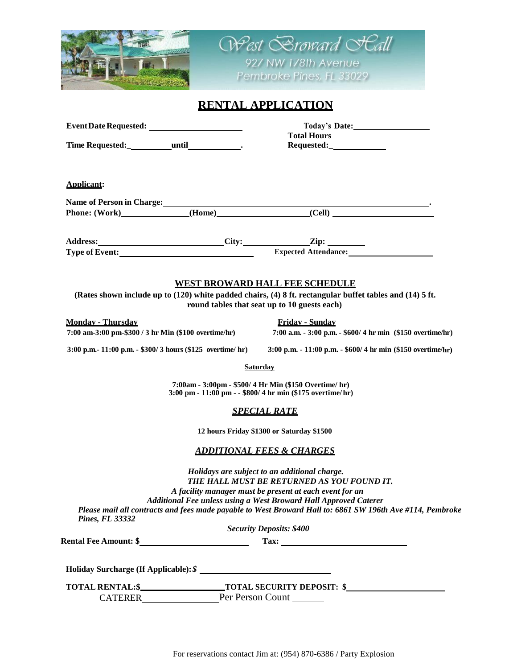| <b>ARSED</b>                                                                                                                                                                                      |                                                                                                                     | West Sroward St                                                                                                                                                                                                                |
|---------------------------------------------------------------------------------------------------------------------------------------------------------------------------------------------------|---------------------------------------------------------------------------------------------------------------------|--------------------------------------------------------------------------------------------------------------------------------------------------------------------------------------------------------------------------------|
|                                                                                                                                                                                                   |                                                                                                                     | 927 NW 178th Avenue                                                                                                                                                                                                            |
|                                                                                                                                                                                                   |                                                                                                                     | Pembroke Pines, FL 33029                                                                                                                                                                                                       |
| <b>RENTAL APPLICATION</b>                                                                                                                                                                         |                                                                                                                     |                                                                                                                                                                                                                                |
|                                                                                                                                                                                                   |                                                                                                                     |                                                                                                                                                                                                                                |
| Time Requested:____________until________________.                                                                                                                                                 |                                                                                                                     | <b>Total Hours</b>                                                                                                                                                                                                             |
|                                                                                                                                                                                                   |                                                                                                                     |                                                                                                                                                                                                                                |
| Applicant:                                                                                                                                                                                        |                                                                                                                     |                                                                                                                                                                                                                                |
|                                                                                                                                                                                                   |                                                                                                                     | Name of Person in Charge: Manual Charge: Manual Charge: Manual Charge: Manual Charge: Manual Charge: Manual Charge: Manual Charge: Manual Charge: Manual Charge: Manual Charge: Manual Charge: Manual Charge: Manual Charge: M |
|                                                                                                                                                                                                   |                                                                                                                     | Phone: (Work) (Home) (Cell)                                                                                                                                                                                                    |
|                                                                                                                                                                                                   |                                                                                                                     |                                                                                                                                                                                                                                |
|                                                                                                                                                                                                   |                                                                                                                     | Address:<br>Type of Event:<br><u>City:</u><br>Expected Attendance:                                                                                                                                                             |
|                                                                                                                                                                                                   |                                                                                                                     |                                                                                                                                                                                                                                |
|                                                                                                                                                                                                   |                                                                                                                     |                                                                                                                                                                                                                                |
| <u>WEST BROWARD HALL FEE SCHEDULE</u><br>(Rates shown include up to (120) white padded chairs, (4) 8 ft. rectangular buffet tables and (14) 5 ft.<br>round tables that seat up to 10 guests each) |                                                                                                                     |                                                                                                                                                                                                                                |
| <b>Monday - Thursday</b>                                                                                                                                                                          |                                                                                                                     | Friday - Sunday                                                                                                                                                                                                                |
| 7:00 am-3:00 pm-\$300 / 3 hr Min (\$100 overtime/hr)                                                                                                                                              |                                                                                                                     | 7:00 a.m. - 3:00 p.m. - \$600/ 4 hr min (\$150 overtime/hr)                                                                                                                                                                    |
| 3:00 p.m. - 11:00 p.m. - $$300/3$ hours (\$125 overtime/hr)                                                                                                                                       |                                                                                                                     | 3:00 p.m. - 11:00 p.m. - $$600/4$ hr min (\$150 overtime/hr)                                                                                                                                                                   |
|                                                                                                                                                                                                   | <b>Saturday</b>                                                                                                     |                                                                                                                                                                                                                                |
|                                                                                                                                                                                                   | 7:00am - 3:00pm - \$500/4 Hr Min (\$150 Overtime/ hr)<br>3:00 pm - 11:00 pm - - \$800/ 4 hr min (\$175 overtime/hr) |                                                                                                                                                                                                                                |
| <u>SPECIAL RATE</u>                                                                                                                                                                               |                                                                                                                     |                                                                                                                                                                                                                                |
| 12 hours Friday \$1300 or Saturday \$1500                                                                                                                                                         |                                                                                                                     |                                                                                                                                                                                                                                |
| <b>ADDITIONAL FEES &amp; CHARGES</b>                                                                                                                                                              |                                                                                                                     |                                                                                                                                                                                                                                |
| Holidays are subject to an additional charge.                                                                                                                                                     |                                                                                                                     |                                                                                                                                                                                                                                |
| THE HALL MUST BE RETURNED AS YOU FOUND IT.                                                                                                                                                        |                                                                                                                     |                                                                                                                                                                                                                                |
| A facility manager must be present at each event for an<br>Additional Fee unless using a West Broward Hall Approved Caterer                                                                       |                                                                                                                     |                                                                                                                                                                                                                                |
|                                                                                                                                                                                                   |                                                                                                                     | Please mail all contracts and fees made payable to West Broward Hall to: 6861 SW 196th Ave #114, Pembroke                                                                                                                      |
| <b>Pines, FL 33332</b>                                                                                                                                                                            |                                                                                                                     | <b>Security Deposits: \$400</b>                                                                                                                                                                                                |
|                                                                                                                                                                                                   |                                                                                                                     |                                                                                                                                                                                                                                |
| Holiday Surcharge (If Applicable): \$                                                                                                                                                             |                                                                                                                     |                                                                                                                                                                                                                                |
|                                                                                                                                                                                                   |                                                                                                                     |                                                                                                                                                                                                                                |
|                                                                                                                                                                                                   |                                                                                                                     |                                                                                                                                                                                                                                |
|                                                                                                                                                                                                   |                                                                                                                     |                                                                                                                                                                                                                                |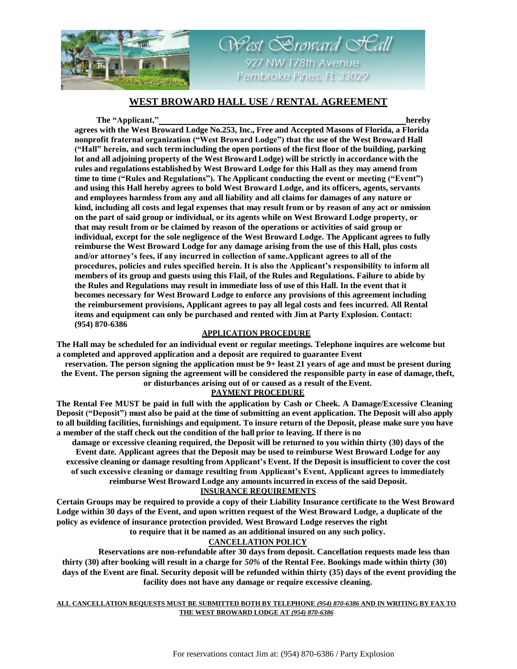

# **WEST BROWARD HALL USE / RENTAL AGREEMENT**

West Scroward SCall

927 NW 178th Avenue Pembroke Pines, FL 33029

#### **The "Applicant," hereby**

**agrees with the West Broward Lodge No.253, Inc., Free and Accepted Masons of Florida, a Florida nonprofit fraternal organization ("West Broward Lodge") that the use of the West Broward Hall ("Hall" herein, and such term including the open portions of the first floor of the building, parking lot and all adjoining property of the West Broward Lodge) will be strictly in accordance with the rules and regulations established by West Broward Lodge for this Hall as they may amend from time to time ("Rules and Regulations"). The Applicant conducting the event or meeting ("Event") and using this Hall hereby agrees to bold West Broward Lodge, and its officers, agents, servants and employees harmless from any and all liability and all claims for damages of any nature or kind, including all costs and legal expenses that may result from or by reason of any act or omission on the part of said group or individual, or its agents while on West Broward Lodge property, or that may result from or be claimed by reason of the operations or activities of said group or individual, except for the sole negligence of the West Broward Lodge. The Applicant agrees to fully reimburse the West Broward Lodge for any damage arising from the use of this Hall, plus costs and/or attorney's fees, if any incurred in collection of same.Applicant agrees to all of the procedures, policies and rules specified herein. It is also the Applicant's responsibility to inform all members of its group and guests using this Flail, of the Rules and Regulations. Failure to abide by the Rules and Regulations may result in immediate loss of use of this Hall. In the event that it becomes necessary for West Broward Lodge to enforce any provisions of this agreement including the reimbursement provisions, Applicant agrees to pay all legal costs and fees incurred. All Rental items and equipment can only be purchased and rented with Jim at Party Explosion. Contact: (954) 870-6386**

#### **APPLICATION PROCEDURE**

**The Hall may be scheduled for an individual event or regular meetings. Telephone inquires are welcome but a completed and approved application and a deposit are required to guarantee Event**

**reservation. The person signing the application must be 9+ least 21 years of age and must be present during the Event. The person signing the agreement will be considered the responsible party in ease of damage,theft, or disturbances arising out of or caused as a result of the Event.**

### **PAYMENT PROCEDURE**

**The Rental Fee MUST be paid in full with the application by Cash or Cheek. A Damage/Excessive Cleaning**  Deposit ("Deposit") must also be paid at the time of submitting an event application. The Deposit will also apply to all building facilities, furnishings and equipment. To insure return of the Deposit, please make sure you have **a member of the staff check out the condition of the hall prior to leaving. If there is no**

**damage or excessive cleaning required, the Deposit will be returned to you within thirty (30) days of the Event date. Applicant agrees that the Deposit may be used to reimburse West Broward Lodge for any**  excessive cleaning or damage resulting from Applicant's Event. If the Deposit is insufficient to cover the cost **of such excessive cleaning or damage resulting from Applicant's Event, Applicant agrees to immediately reimburse West Broward Lodge any amounts incurred in excess of the said Deposit.**

### **INSURANCE REQUIREMENTS**

**Certain Groups may be required to provide a copy of their Liability Insurance certificate to the West Broward Lodge within 30 days of the Event, and upon written request of the West Broward Lodge, a duplicate of the policy as evidence of insurance protection provided. West Broward Lodge reserves the right**

**to require that it be named as an additional insured on any such policy.**

## **CANCELLATION POLICY**

**Reservations are non-refundable after 30 days from deposit. Cancellation requests made less than thirty (30) after booking will result in a charge for** *50%* **of the Rental Fee. Bookings made within thirty (30) days of the Event are final. Security deposit will be refunded within thirty (35) days of the event providing the facility does not have any damage or require excessive cleaning.**

**ALL CANCELLATION REQUESTS MUST BE SUBMITTED BOTH BY TELEPHONE** *(954) 870-6386* **AND IN WRITING BY FAX TO THE WEST BROWARD LODGE AT** *(954) 870-6386*